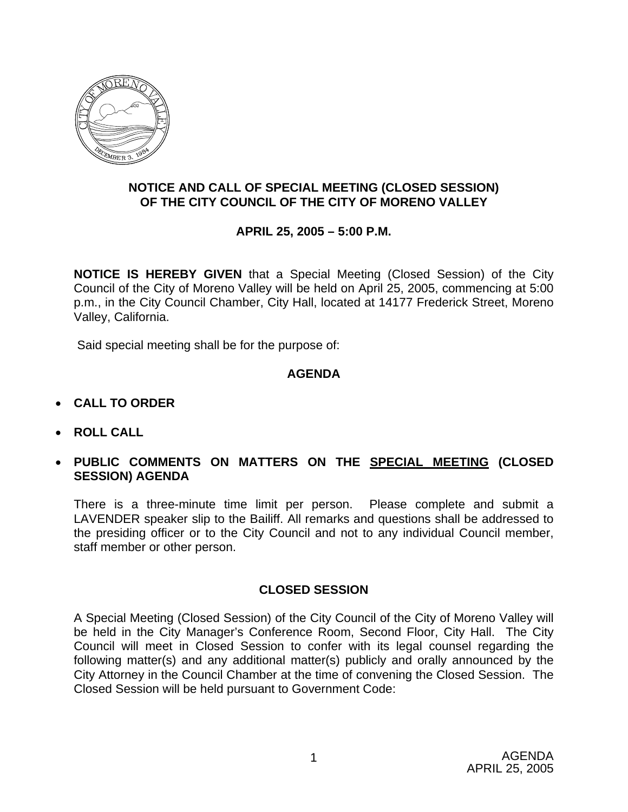

## **NOTICE AND CALL OF SPECIAL MEETING (CLOSED SESSION) OF THE CITY COUNCIL OF THE CITY OF MORENO VALLEY**

## **APRIL 25, 2005 – 5:00 P.M.**

**NOTICE IS HEREBY GIVEN** that a Special Meeting (Closed Session) of the City Council of the City of Moreno Valley will be held on April 25, 2005, commencing at 5:00 p.m., in the City Council Chamber, City Hall, located at 14177 Frederick Street, Moreno Valley, California.

Said special meeting shall be for the purpose of:

## **AGENDA**

- **CALL TO ORDER**
- **ROLL CALL**
- **PUBLIC COMMENTS ON MATTERS ON THE SPECIAL MEETING (CLOSED SESSION) AGENDA**

There is a three-minute time limit per person. Please complete and submit a LAVENDER speaker slip to the Bailiff. All remarks and questions shall be addressed to the presiding officer or to the City Council and not to any individual Council member, staff member or other person.

## **CLOSED SESSION**

A Special Meeting (Closed Session) of the City Council of the City of Moreno Valley will be held in the City Manager's Conference Room, Second Floor, City Hall. The City Council will meet in Closed Session to confer with its legal counsel regarding the following matter(s) and any additional matter(s) publicly and orally announced by the City Attorney in the Council Chamber at the time of convening the Closed Session. The Closed Session will be held pursuant to Government Code: